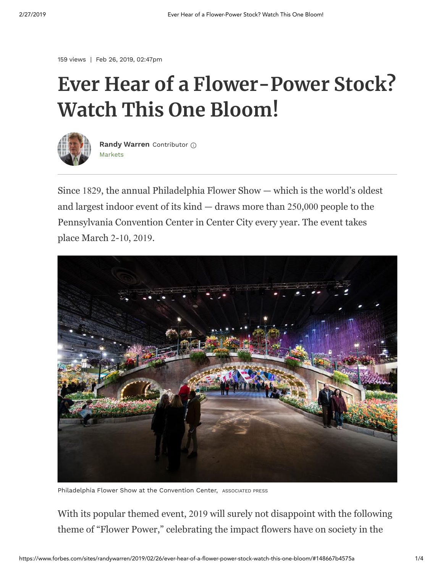159 views | Feb 26, 2019, 02:47pm

## **Ever Hear of a Flower-Power Stock? Watch This One Bloom!**



[Markets](https://www.forbes.com/markets) **[Randy Warren](https://www.forbes.com/sites/randywarren/)** Contributor

Since 1829, the annual Philadelphia Flower Show — which is the world's oldest and largest indoor event of its kind — draws more than 250,000 people to the Pennsylvania Convention Center in Center City every year. The event takes place March 2-10, 2019.



Philadelphia Flower Show at the Convention Center, ASSOCIATED PRESS

With its popular themed event, 2019 will surely not disappoint with the following theme of "Flower Power," celebrating the impact flowers have on society in the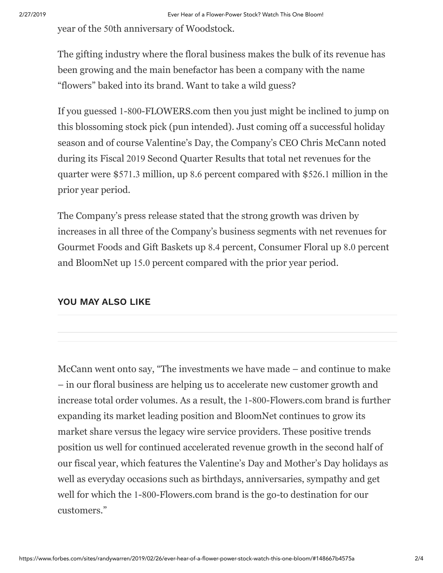year of the 50th anniversary of Woodstock.

The gifting industry where the floral business makes the bulk of its revenue has been growing and the main benefactor has been a company with the name "flowers" baked into its brand. Want to take a wild guess?

If you guessed 1-800-FLOWERS.com then you just might be inclined to jump on this blossoming stock pick (pun intended). Just coming off a successful holiday season and of course Valentine's Day, the Company's CEO Chris McCann noted during its Fiscal 2019 Second Quarter Results that total net revenues for the quarter were \$571.3 million, up 8.6 percent compared with \$526.1 million in the prior year period.

The Company's press release stated that the strong growth was driven by increases in all three of the Company's business segments with net revenues for Gourmet Foods and Gift Baskets up 8.4 percent, Consumer Floral up 8.0 percent and BloomNet up 15.0 percent compared with the prior year period.

## **YOU MAY ALSO LIKE**

McCann went onto say, "The investments we have made – and continue to make – in our floral business are helping us to accelerate new customer growth and increase total order volumes. As a result, the 1-800-Flowers.com brand is further expanding its market leading position and BloomNet continues to grow its market share versus the legacy wire service providers. These positive trends position us well for continued accelerated revenue growth in the second half of our fiscal year, which features the Valentine's Day and Mother's Day holidays as well as everyday occasions such as birthdays, anniversaries, sympathy and get well for which the 1-800-Flowers.com brand is the go-to destination for our customers."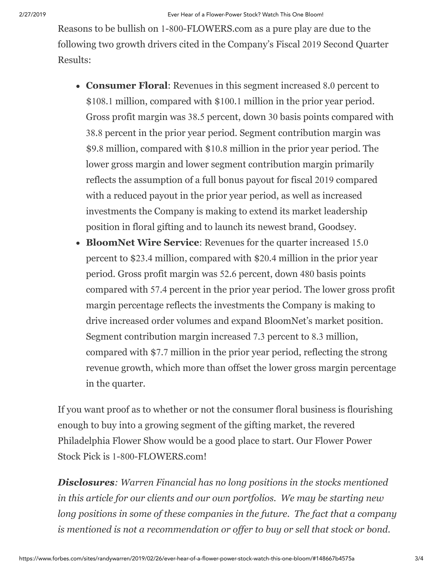Reasons to be bullish on 1-800-FLOWERS.com as a pure play are due to the following two growth drivers cited in the Company's Fiscal 2019 Second Quarter Results:

- **Consumer Floral**: Revenues in this segment increased 8.0 percent to \$108.1 million, compared with \$100.1 million in the prior year period. Gross profit margin was 38.5 percent, down 30 basis points compared with 38.8 percent in the prior year period. Segment contribution margin was \$9.8 million, compared with \$10.8 million in the prior year period. The lower gross margin and lower segment contribution margin primarily reflects the assumption of a full bonus payout for fiscal 2019 compared with a reduced payout in the prior year period, as well as increased investments the Company is making to extend its market leadership position in floral gifting and to launch its newest brand, Goodsey.
- **BloomNet Wire Service**: Revenues for the quarter increased 15.0 percent to \$23.4 million, compared with \$20.4 million in the prior year period. Gross profit margin was 52.6 percent, down 480 basis points compared with 57.4 percent in the prior year period. The lower gross profit margin percentage reflects the investments the Company is making to drive increased order volumes and expand BloomNet's market position. Segment contribution margin increased 7.3 percent to 8.3 million, compared with \$7.7 million in the prior year period, reflecting the strong revenue growth, which more than offset the lower gross margin percentage in the quarter.

If you want proof as to whether or not the consumer floral business is flourishing enough to buy into a growing segment of the gifting market, the revered Philadelphia Flower Show would be a good place to start. Our Flower Power Stock Pick is 1-800-FLOWERS.com!

*Disclosures: Warren Financial has no long positions in the stocks mentioned in this article for our clients and our own portfolios. We may be starting new long positions in some of these companies in the future. The fact that a company is mentioned is not a recommendation or offer to buy or sell that stock or bond.*